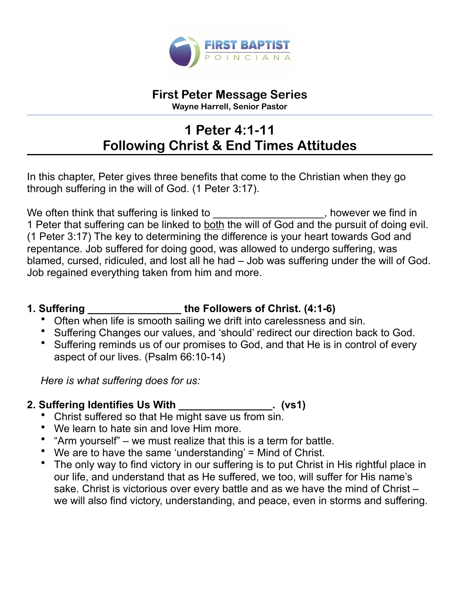

# **First Peter Message Series**

**Wayne Harrell, Senior Pastor** 

# **1 Peter 4:1-11 Following Christ & End Times Attitudes**

In this chapter, Peter gives three benefits that come to the Christian when they go through suffering in the will of God. (1 Peter 3:17).

We often think that suffering is linked to \_\_\_\_\_\_\_\_\_\_\_\_\_\_\_\_\_\_\_\_, however we find in 1 Peter that suffering can be linked to both the will of God and the pursuit of doing evil. (1 Peter 3:17) The key to determining the difference is your heart towards God and repentance. Job suffered for doing good, was allowed to undergo suffering, was blamed, cursed, ridiculed, and lost all he had – Job was suffering under the will of God. Job regained everything taken from him and more.

### **1. Suffering \_\_\_\_\_\_\_\_\_\_\_\_\_\_\_\_ the Followers of Christ. (4:1-6)**

- Often when life is smooth sailing we drift into carelessness and sin.
- Suffering Changes our values, and 'should' redirect our direction back to God.
- Suffering reminds us of our promises to God, and that He is in control of every aspect of our lives. (Psalm 66:10-14)

*Here is what suffering does for us:* 

# **2. Suffering Identifies Us With \_\_\_\_\_\_\_\_\_\_\_\_\_\_\_\_. (vs1)**

- Christ suffered so that He might save us from sin.
- We learn to hate sin and love Him more.
- "Arm yourself" we must realize that this is a term for battle.
- We are to have the same 'understanding' = Mind of Christ.
- The only way to find victory in our suffering is to put Christ in His rightful place in our life, and understand that as He suffered, we too, will suffer for His name's sake. Christ is victorious over every battle and as we have the mind of Christ – we will also find victory, understanding, and peace, even in storms and suffering.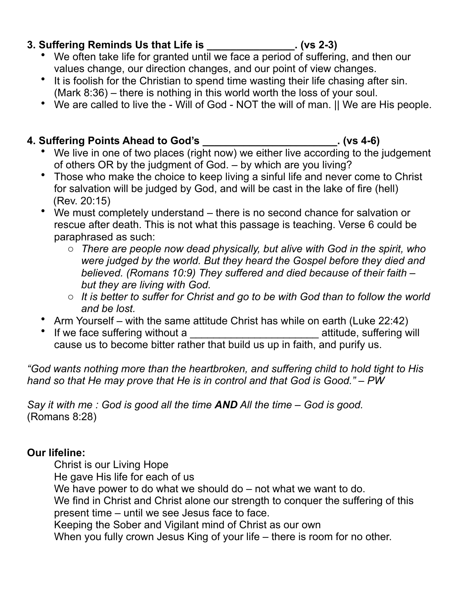### **3. Suffering Reminds Us that Life is \_\_\_\_\_\_\_\_\_\_\_\_\_\_\_. (vs 2-3)**

- We often take life for granted until we face a period of suffering, and then our values change, our direction changes, and our point of view changes.
- It is foolish for the Christian to spend time wasting their life chasing after sin. (Mark 8:36) – there is nothing in this world worth the loss of your soul.
- We are called to live the Will of God NOT the will of man. || We are His people.

### **4. Suffering Points Ahead to God's \_\_\_\_\_\_\_\_\_\_\_\_\_\_\_\_\_\_\_\_\_\_\_. (vs 4-6)**

- We live in one of two places (right now) we either live according to the judgement of others OR by the judgment of God. – by which are you living?
- Those who make the choice to keep living a sinful life and never come to Christ for salvation will be judged by God, and will be cast in the lake of fire (hell) (Rev. 20:15)
- We must completely understand there is no second chance for salvation or rescue after death. This is not what this passage is teaching. Verse 6 could be paraphrased as such:
	- o *There are people now dead physically, but alive with God in the spirit, who were judged by the world. But they heard the Gospel before they died and believed. (Romans 10:9) They suffered and died because of their faith – but they are living with God.*
	- o *It is better to suffer for Christ and go to be with God than to follow the world and be lost.*
- Arm Yourself with the same attitude Christ has while on earth (Luke 22:42)
- If we face suffering without a **without a** attitude, suffering will cause us to become bitter rather that build us up in faith, and purify us.

*"God wants nothing more than the heartbroken, and suffering child to hold tight to His hand so that He may prove that He is in control and that God is Good." – PW* 

*Say it with me : God is good all the time AND All the time – God is good.*  (Romans 8:28)

### **Our lifeline:**

Christ is our Living Hope

He gave His life for each of us

We have power to do what we should do – not what we want to do.

 We find in Christ and Christ alone our strength to conquer the suffering of this present time – until we see Jesus face to face.

Keeping the Sober and Vigilant mind of Christ as our own

When you fully crown Jesus King of your life – there is room for no other.